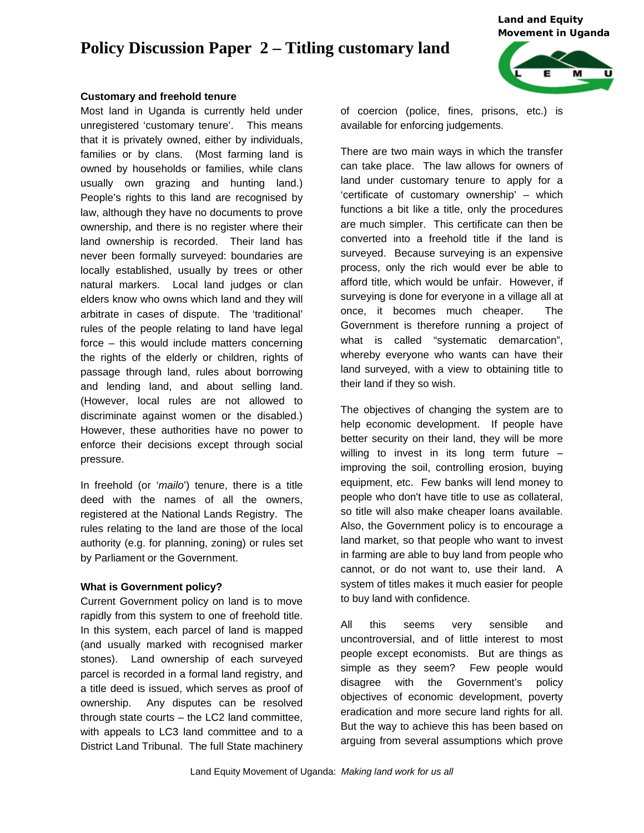# **Policy Discussion Paper 2 – Titling customary land**

*Land and Equity Movement in Uganda* 



#### **Customary and freehold tenure**

Most land in Uganda is currently held under unregistered 'customary tenure'. This means that it is privately owned, either by individuals, families or by clans. (Most farming land is owned by households or families, while clans usually own grazing and hunting land.) People's rights to this land are recognised by law, although they have no documents to prove ownership, and there is no register where their land ownership is recorded. Their land has never been formally surveyed: boundaries are locally established, usually by trees or other natural markers. Local land judges or clan elders know who owns which land and they will arbitrate in cases of dispute. The 'traditional' rules of the people relating to land have legal force – this would include matters concerning the rights of the elderly or children, rights of passage through land, rules about borrowing and lending land, and about selling land. (However, local rules are not allowed to discriminate against women or the disabled.) However, these authorities have no power to enforce their decisions except through social pressure.

In freehold (or '*mailo*') tenure, there is a title deed with the names of all the owners, registered at the National Lands Registry. The rules relating to the land are those of the local authority (e.g. for planning, zoning) or rules set by Parliament or the Government.

#### **What is Government policy?**

Current Government policy on land is to move rapidly from this system to one of freehold title. In this system, each parcel of land is mapped (and usually marked with recognised marker stones). Land ownership of each surveyed parcel is recorded in a formal land registry, and a title deed is issued, which serves as proof of ownership. Any disputes can be resolved through state courts – the LC2 land committee, with appeals to LC3 land committee and to a District Land Tribunal. The full State machinery

of coercion (police, fines, prisons, etc.) is available for enforcing judgements.

There are two main ways in which the transfer can take place. The law allows for owners of land under customary tenure to apply for a 'certificate of customary ownership' – which functions a bit like a title, only the procedures are much simpler. This certificate can then be converted into a freehold title if the land is surveyed. Because surveying is an expensive process, only the rich would ever be able to afford title, which would be unfair. However, if surveying is done for everyone in a village all at once, it becomes much cheaper. The Government is therefore running a project of what is called "systematic demarcation", whereby everyone who wants can have their land surveyed, with a view to obtaining title to their land if they so wish.

The objectives of changing the system are to help economic development. If people have better security on their land, they will be more willing to invest in its long term future – improving the soil, controlling erosion, buying equipment, etc. Few banks will lend money to people who don't have title to use as collateral, so title will also make cheaper loans available. Also, the Government policy is to encourage a land market, so that people who want to invest in farming are able to buy land from people who cannot, or do not want to, use their land. A system of titles makes it much easier for people to buy land with confidence.

All this seems very sensible and uncontroversial, and of little interest to most people except economists. But are things as simple as they seem? Few people would disagree with the Government's policy objectives of economic development, poverty eradication and more secure land rights for all. But the way to achieve this has been based on arguing from several assumptions which prove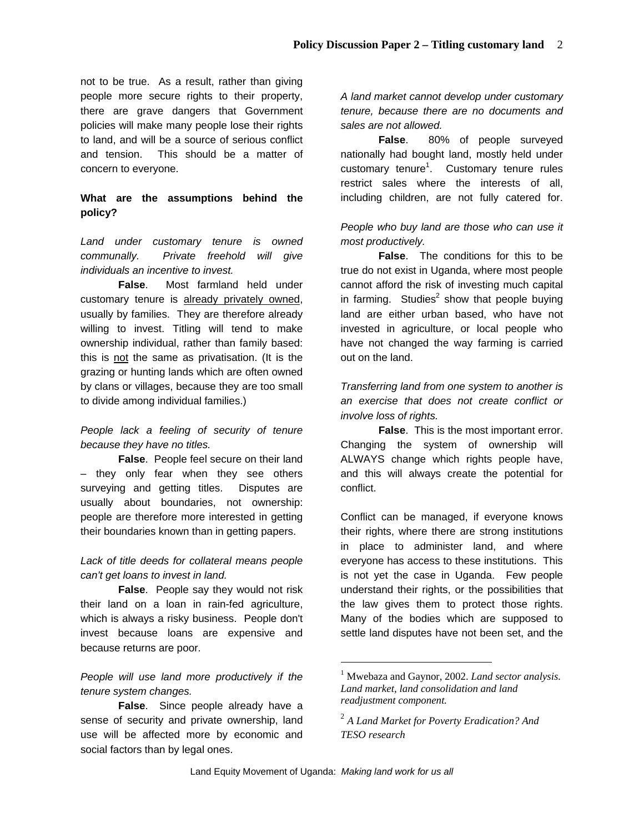not to be true. As a result, rather than giving people more secure rights to their property, there are grave dangers that Government policies will make many people lose their rights to land, and will be a source of serious conflict and tension. This should be a matter of concern to everyone.

# **What are the assumptions behind the policy?**

*Land under customary tenure is owned communally. Private freehold will give individuals an incentive to invest.* 

**False**. Most farmland held under customary tenure is already privately owned, usually by families. They are therefore already willing to invest. Titling will tend to make ownership individual, rather than family based: this is not the same as privatisation. (It is the grazing or hunting lands which are often owned by clans or villages, because they are too small to divide among individual families.)

## *People lack a feeling of security of tenure because they have no titles.*

**False**. People feel secure on their land – they only fear when they see others surveying and getting titles. Disputes are usually about boundaries, not ownership: people are therefore more interested in getting their boundaries known than in getting papers.

## *Lack of title deeds for collateral means people can't get loans to invest in land.*

**False**. People say they would not risk their land on a loan in rain-fed agriculture, which is always a risky business. People don't invest because loans are expensive and because returns are poor.

## *People will use land more productively if the tenure system changes.*

**False**. Since people already have a sense of security and private ownership, land use will be affected more by economic and social factors than by legal ones.

*A land market cannot develop under customary tenure, because there are no documents and sales are not allowed.* 

**False**. 80% of people surveyed nationally had bought land, mostly held under customary tenure<sup>1</sup>. Customary tenure rules restrict sales where the interests of all, including children, are not fully catered for.

## *People who buy land are those who can use it most productively.*

**False**. The conditions for this to be true do not exist in Uganda, where most people cannot afford the risk of investing much capital in farming. Studies<sup>2</sup> show that people buying land are either urban based, who have not invested in agriculture, or local people who have not changed the way farming is carried out on the land.

*Transferring land from one system to another is an exercise that does not create conflict or involve loss of rights.* 

**False**. This is the most important error. Changing the system of ownership will ALWAYS change which rights people have, and this will always create the potential for conflict.

Conflict can be managed, if everyone knows their rights, where there are strong institutions in place to administer land, and where everyone has access to these institutions. This is not yet the case in Uganda. Few people understand their rights, or the possibilities that the law gives them to protect those rights. Many of the bodies which are supposed to settle land disputes have not been set, and the

l

<sup>1</sup> Mwebaza and Gaynor, 2002. *Land sector analysis. Land market, land consolidation and land readjustment component.*

<sup>2</sup> *A Land Market for Poverty Eradication? And TESO research*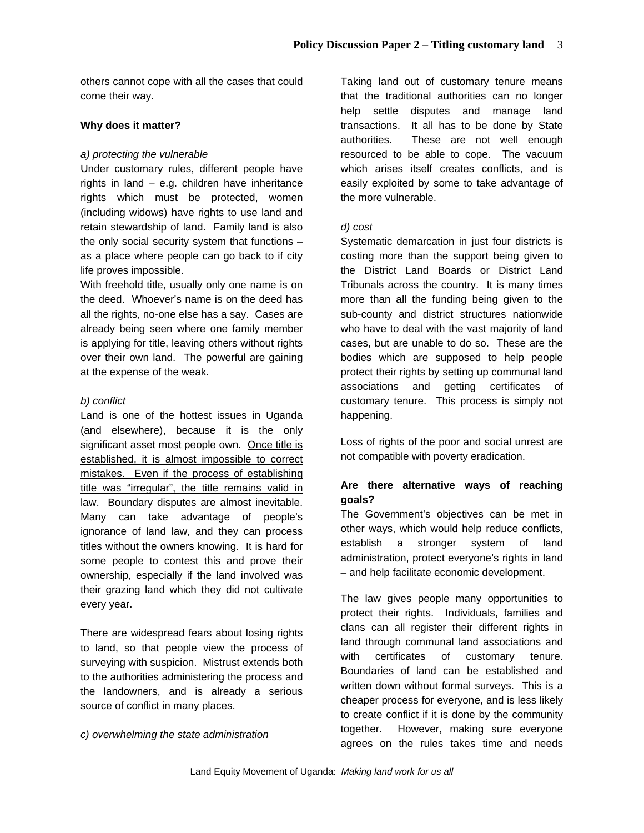others cannot cope with all the cases that could come their way.

#### **Why does it matter?**

#### *a) protecting the vulnerable*

Under customary rules, different people have rights in land – e.g. children have inheritance rights which must be protected, women (including widows) have rights to use land and retain stewardship of land. Family land is also the only social security system that functions – as a place where people can go back to if city life proves impossible.

With freehold title, usually only one name is on the deed. Whoever's name is on the deed has all the rights, no-one else has a say. Cases are already being seen where one family member is applying for title, leaving others without rights over their own land. The powerful are gaining at the expense of the weak.

#### *b) conflict*

Land is one of the hottest issues in Uganda (and elsewhere), because it is the only significant asset most people own. Once title is established, it is almost impossible to correct mistakes. Even if the process of establishing title was "irregular", the title remains valid in law. Boundary disputes are almost inevitable. Many can take advantage of people's ignorance of land law, and they can process titles without the owners knowing. It is hard for some people to contest this and prove their ownership, especially if the land involved was their grazing land which they did not cultivate every year.

There are widespread fears about losing rights to land, so that people view the process of surveying with suspicion. Mistrust extends both to the authorities administering the process and the landowners, and is already a serious source of conflict in many places.

#### *c) overwhelming the state administration*

Taking land out of customary tenure means that the traditional authorities can no longer help settle disputes and manage land transactions. It all has to be done by State authorities. These are not well enough resourced to be able to cope. The vacuum which arises itself creates conflicts, and is easily exploited by some to take advantage of the more vulnerable.

#### *d) cost*

Systematic demarcation in just four districts is costing more than the support being given to the District Land Boards or District Land Tribunals across the country. It is many times more than all the funding being given to the sub-county and district structures nationwide who have to deal with the vast majority of land cases, but are unable to do so. These are the bodies which are supposed to help people protect their rights by setting up communal land associations and getting certificates of customary tenure. This process is simply not happening.

Loss of rights of the poor and social unrest are not compatible with poverty eradication.

## **Are there alternative ways of reaching goals?**

The Government's objectives can be met in other ways, which would help reduce conflicts, establish a stronger system of land administration, protect everyone's rights in land – and help facilitate economic development.

The law gives people many opportunities to protect their rights. Individuals, families and clans can all register their different rights in land through communal land associations and with certificates of customary tenure. Boundaries of land can be established and written down without formal surveys. This is a cheaper process for everyone, and is less likely to create conflict if it is done by the community together. However, making sure everyone agrees on the rules takes time and needs